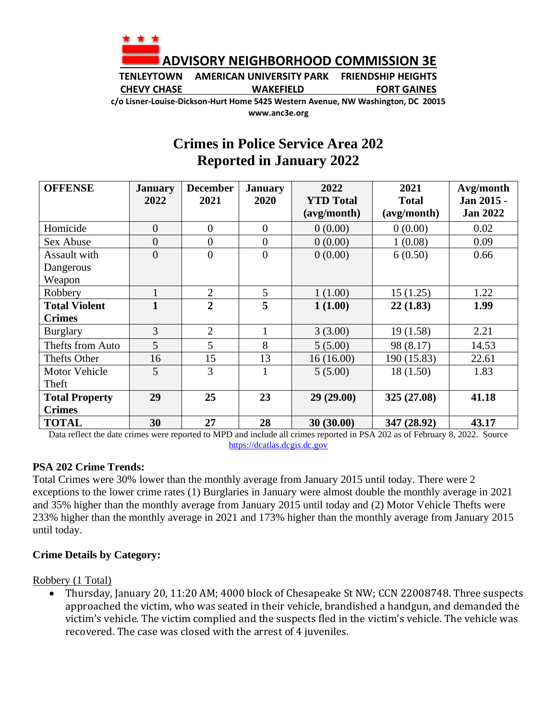

**TENLEYTOWN AMERICAN UNIVERSITY PARK FRIENDSHIP HEIGHTS CHEVY CHASE WAKEFIELD FORT GAINES**

**c/o Lisner-Louise-Dickson-Hurt Home 5425 Western Avenue, NW Washington, DC 20015 www.anc3e.org**

# **Crimes in Police Service Area 202 Reported in January 2022**

| <b>OFFENSE</b>        | <b>January</b> | <b>December</b> | <b>January</b>   | 2022             | 2021         | Avg/month       |
|-----------------------|----------------|-----------------|------------------|------------------|--------------|-----------------|
|                       | 2022           | 2021            | 2020             | <b>YTD Total</b> | <b>Total</b> | Jan 2015 -      |
|                       |                |                 |                  | (avg/month)      | (avg/month)  | <b>Jan 2022</b> |
| Homicide              | $\overline{0}$ | $\overline{0}$  | $\overline{0}$   | 0(0.00)          | 0(0.00)      | 0.02            |
| Sex Abuse             | $\overline{0}$ | $\overline{0}$  | $\boldsymbol{0}$ | 0(0.00)          | 1(0.08)      | 0.09            |
| Assault with          | $\overline{0}$ | $\overline{0}$  | $\theta$         | 0(0.00)          | 6(0.50)      | 0.66            |
| Dangerous             |                |                 |                  |                  |              |                 |
| Weapon                |                |                 |                  |                  |              |                 |
| Robbery               |                | $\overline{2}$  | 5                | 1(1.00)          | 15(1.25)     | 1.22            |
| <b>Total Violent</b>  |                | $\overline{2}$  | 5                | 1(1.00)          | 22(1.83)     | 1.99            |
| <b>Crimes</b>         |                |                 |                  |                  |              |                 |
| <b>Burglary</b>       | 3              | $\overline{2}$  |                  | 3(3.00)          | 19(1.58)     | 2.21            |
| Thefts from Auto      | 5              | $5\overline{)}$ | 8                | 5(5.00)          | 98 (8.17)    | 14.53           |
| Thefts Other          | 16             | 15              | 13               | 16(16.00)        | 190 (15.83)  | 22.61           |
| <b>Motor Vehicle</b>  | 5              | 3               |                  | 5(5.00)          | 18(1.50)     | 1.83            |
| Theft                 |                |                 |                  |                  |              |                 |
| <b>Total Property</b> | 29             | 25              | 23               | 29(29.00)        | 325 (27.08)  | 41.18           |
| <b>Crimes</b>         |                |                 |                  |                  |              |                 |
| <b>TOTAL</b>          | 30             | 27              | 28               | 30(30.00)        | 347 (28.92)  | 43.17           |

Data reflect the date crimes were reported to MPD and include all crimes reported in PSA 202 as of February 8, 2022. Source [https://dcatlas.dcgis.dc.gov](https://dcatlas.dcgis.dc.gov/)

### **PSA 202 Crime Trends:**

Total Crimes were 30% lower than the monthly average from January 2015 until today. There were 2 exceptions to the lower crime rates (1) Burglaries in January were almost double the monthly average in 2021 and 35% higher than the monthly average from January 2015 until today and (2) Motor Vehicle Thefts were 233% higher than the monthly average in 2021 and 173% higher than the monthly average from January 2015 until today.

### **Crime Details by Category:**

Robbery (1 Total)

• Thursday, January 20, 11:20 AM; 4000 block of Chesapeake St NW; CCN 22008748. Three suspects approached the victim, who was seated in their vehicle, brandished a handgun, and demanded the victim's vehicle. The victim complied and the suspects fled in the victim's vehicle. The vehicle was recovered. The case was closed with the arrest of 4 juveniles.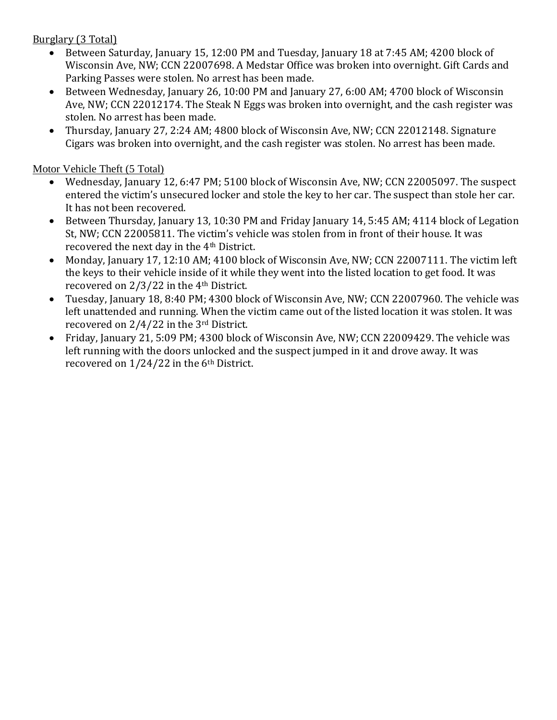# Burglary (3 Total)

- Between Saturday, January 15, 12:00 PM and Tuesday, January 18 at 7:45 AM; 4200 block of Wisconsin Ave, NW; CCN 22007698. A Medstar Office was broken into overnight. Gift Cards and Parking Passes were stolen. No arrest has been made.
- Between Wednesday, January 26, 10:00 PM and January 27, 6:00 AM; 4700 block of Wisconsin Ave, NW; CCN 22012174. The Steak N Eggs was broken into overnight, and the cash register was stolen. No arrest has been made.
- Thursday, January 27, 2:24 AM; 4800 block of Wisconsin Ave, NW; CCN 22012148. Signature Cigars was broken into overnight, and the cash register was stolen. No arrest has been made.

# Motor Vehicle Theft (5 Total)

- Wednesday, January 12, 6:47 PM; 5100 block of Wisconsin Ave, NW; CCN 22005097. The suspect entered the victim's unsecured locker and stole the key to her car. The suspect than stole her car. It has not been recovered.
- Between Thursday, January 13, 10:30 PM and Friday January 14, 5:45 AM; 4114 block of Legation St, NW; CCN 22005811. The victim's vehicle was stolen from in front of their house. It was recovered the next day in the 4th District.
- Monday, January 17, 12:10 AM; 4100 block of Wisconsin Ave, NW; CCN 22007111. The victim left the keys to their vehicle inside of it while they went into the listed location to get food. It was recovered on 2/3/22 in the 4th District.
- Tuesday, January 18, 8:40 PM; 4300 block of Wisconsin Ave, NW; CCN 22007960. The vehicle was left unattended and running. When the victim came out of the listed location it was stolen. It was recovered on 2/4/22 in the 3rd District.
- Friday, January 21, 5:09 PM; 4300 block of Wisconsin Ave, NW; CCN 22009429. The vehicle was left running with the doors unlocked and the suspect jumped in it and drove away. It was recovered on  $1/24/22$  in the 6<sup>th</sup> District.